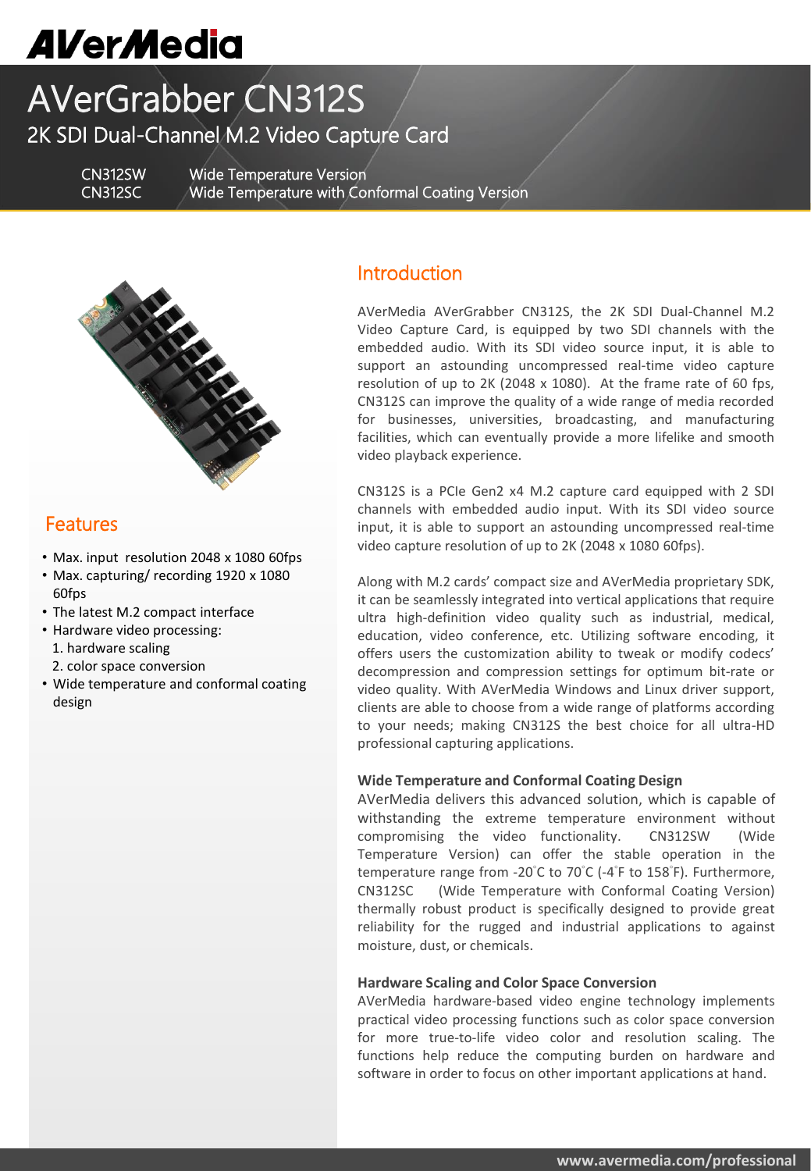# **AVerMedia**

# AVerGrabber CN312S 2K SDI Dual-Channel M.2 Video Capture Card

CN312SW Wide Temperature Version CN312SC Wide Temperature with Conformal Coating Version



## Features

- Max. input resolution 2048 x 1080 60fps
- Max. capturing/ recording 1920 x 1080 60fps
- The latest M.2 compact interface
- Hardware video processing: 1. hardware scaling
- 2. color space conversion
- Wide temperature and conformal coating design

### Introduction

AVerMedia AVerGrabber CN312S, the 2K SDI Dual-Channel M.2 Video Capture Card, is equipped by two SDI channels with the embedded audio. With its SDI video source input, it is able to support an astounding uncompressed real-time video capture resolution of up to 2K (2048 x 1080). At the frame rate of 60 fps, CN312S can improve the quality of a wide range of media recorded for businesses, universities, broadcasting, and manufacturing facilities, which can eventually provide a more lifelike and smooth video playback experience.

CN312S is a PCIe Gen2 x4 M.2 capture card equipped with 2 SDI channels with embedded audio input. With its SDI video source input, it is able to support an astounding uncompressed real-time video capture resolution of up to 2K (2048 x 1080 60fps).

Along with M.2 cards' compact size and AVerMedia proprietary SDK, it can be seamlessly integrated into vertical applications that require ultra high-definition video quality such as industrial, medical, education, video conference, etc. Utilizing software encoding, it offers users the customization ability to tweak or modify codecs' decompression and compression settings for optimum bit-rate or video quality. With AVerMedia Windows and Linux driver support, clients are able to choose from a wide range of platforms according to your needs; making CN312S the best choice for all ultra-HD professional capturing applications.

#### **Wide Temperature and Conformal Coating Design**

AVerMedia delivers this advanced solution, which is capable of withstanding the extreme temperature environment without compromising the video functionality. CN312SW (Wide Temperature Version) can offer the stable operation in the temperature range from -20°C to 70°C (-4°F to 158°F). Furthermore, CN312SC (Wide Temperature with Conformal Coating Version) thermally robust product is specifically designed to provide great reliability for the rugged and industrial applications to against moisture, dust, or chemicals.

#### **Hardware Scaling and Color Space Conversion**

AVerMedia hardware-based video engine technology implements practical video processing functions such as color space conversion for more true-to-life video color and resolution scaling. The functions help reduce the computing burden on hardware and software in order to focus on other important applications at hand.